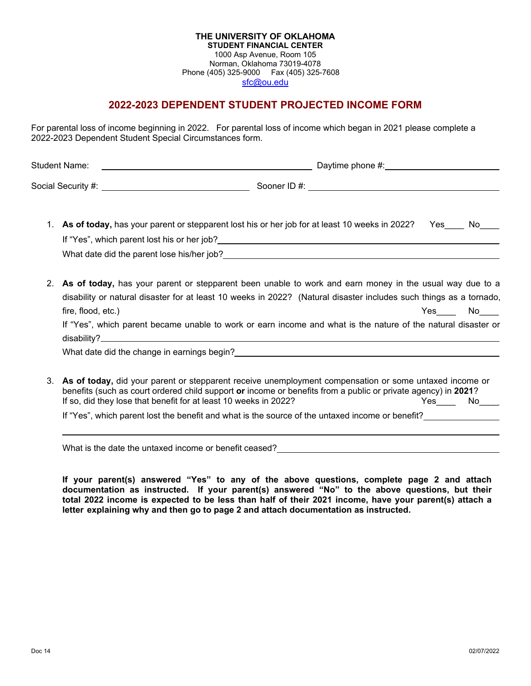#### **THE UNIVERSITY OF OKLAHOMA STUDENT FINANCIAL CENTER** 1000 Asp Avenue, Room 105 Norman, Oklahoma 73019-4078 Phone (405) 325-9000 Fax (405) 325-7608 [sfc@ou.edu](http://www.ou.edu/financialaid.html)

# **2022-2023 DEPENDENT STUDENT PROJECTED INCOME FORM**

For parental loss of income beginning in 2022. For parental loss of income which began in 2021 please complete a 2022-2023 Dependent Student Special Circumstances form.

| <b>Student Name:</b> | <u>a sa barang sa mga barang sa mga barang sa mga barang sa mga barang sa mga barang sa mga barang sa mga barang sa </u> | Daytime phone $#$ : |
|----------------------|--------------------------------------------------------------------------------------------------------------------------|---------------------|
|                      |                                                                                                                          |                     |
|                      | As of today, has your parent or stepparent lost his or her job for at least 10 weeks in 2022?                            | Yes<br>No.          |
|                      |                                                                                                                          |                     |
|                      | What date did the parent lose his/her job?                                                                               |                     |

- 2. **As of today,** has your parent or stepparent been unable to work and earn money in the usual way due to a disability or natural disaster for at least 10 weeks in 2022? (Natural disaster includes such things as a tornado, fire, flood, etc.) The set of the set of the set of the set of the set of the set of the set of the set of the set of the set of the set of the set of the set of the set of the set of the set of the set of the set of the s If "Yes", which parent became unable to work or earn income and what is the nature of the natural disaster or disability? What date did the change in earnings begin?
- 3. **As of today,** did your parent or stepparent receive unemployment compensation or some untaxed income or benefits (such as court ordered child support **or** income or benefits from a public or private agency) in **2021**? If so, did they lose that benefit for at least 10 weeks in 2022? Yes Wo

If "Yes", which parent lost the benefit and what is the source of the untaxed income or benefit?

What is the date the untaxed income or benefit ceased?

**If your parent(s) answered "Yes" to any of the above questions, complete page 2 and attach documentation as instructed. If your parent(s) answered "No" to the above questions, but their total 2022 income is expected to be less than half of their 2021 income, have your parent(s) attach a letter explaining why and then go to page 2 and attach documentation as instructed.**